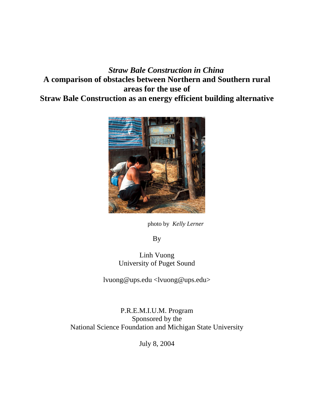# *Straw Bale Construction in China*  **A comparison of obstacles between Northern and Southern rural areas for the use of Straw Bale Construction as an energy efficient building alternative**



photo by *Kelly Lerner* 

By

Linh Vuong University of Puget Sound

lvuong@ups.edu <lvuong@ups.edu>

P.R.E.M.I.U.M. Program Sponsored by the National Science Foundation and Michigan State University

July 8, 2004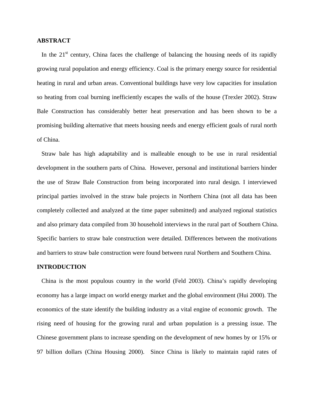# **ABSTRACT**

In the  $21<sup>st</sup>$  century, China faces the challenge of balancing the housing needs of its rapidly growing rural population and energy efficiency. Coal is the primary energy source for residential heating in rural and urban areas. Conventional buildings have very low capacities for insulation so heating from coal burning inefficiently escapes the walls of the house (Trexler 2002). Straw Bale Construction has considerably better heat preservation and has been shown to be a promising building alternative that meets housing needs and energy efficient goals of rural north of China.

Straw bale has high adaptability and is malleable enough to be use in rural residential development in the southern parts of China. However, personal and institutional barriers hinder the use of Straw Bale Construction from being incorporated into rural design. I interviewed principal parties involved in the straw bale projects in Northern China (not all data has been completely collected and analyzed at the time paper submitted) and analyzed regional statistics and also primary data compiled from 30 household interviews in the rural part of Southern China. Specific barriers to straw bale construction were detailed. Differences between the motivations and barriers to straw bale construction were found between rural Northern and Southern China.

# **INTRODUCTION**

China is the most populous country in the world (Feld 2003). China's rapidly developing economy has a large impact on world energy market and the global environment (Hui 2000). The economics of the state identify the building industry as a vital engine of economic growth. The rising need of housing for the growing rural and urban population is a pressing issue. The Chinese government plans to increase spending on the development of new homes by or 15% or 97 billion dollars (China Housing 2000). Since China is likely to maintain rapid rates of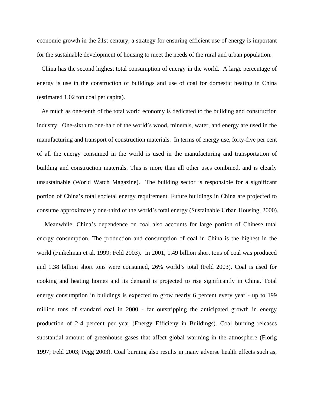economic growth in the 21st century, a strategy for ensuring efficient use of energy is important for the sustainable development of housing to meet the needs of the rural and urban population.

China has the second highest total consumption of energy in the world. A large percentage of energy is use in the construction of buildings and use of coal for domestic heating in China (estimated 1.02 ton coal per capita).

As much as one-tenth of the total world economy is dedicated to the building and construction industry. One-sixth to one-half of the world's wood, minerals, water, and energy are used in the manufacturing and transport of construction materials. In terms of energy use, forty-five per cent of all the energy consumed in the world is used in the manufacturing and transportation of building and construction materials. This is more than all other uses combined, and is clearly unsustainable (World Watch Magazine). The building sector is responsible for a significant portion of China's total societal energy requirement. Future buildings in China are projected to consume approximately one-third of the world's total energy (Sustainable Urban Housing, 2000).

 Meanwhile, China's dependence on coal also accounts for large portion of Chinese total energy consumption. The production and consumption of coal in China is the highest in the world (Finkelman et al. 1999; Feld 2003). In 2001, 1.49 billion short tons of coal was produced and 1.38 billion short tons were consumed, 26% world's total (Feld 2003). Coal is used for cooking and heating homes and its demand is projected to rise significantly in China. Total energy consumption in buildings is expected to grow nearly 6 percent every year - up to 199 million tons of standard coal in 2000 - far outstripping the anticipated growth in energy production of 2-4 percent per year (Energy Efficieny in Buildings). Coal burning releases substantial amount of greenhouse gases that affect global warming in the atmosphere (Florig 1997; Feld 2003; Pegg 2003). Coal burning also results in many adverse health effects such as,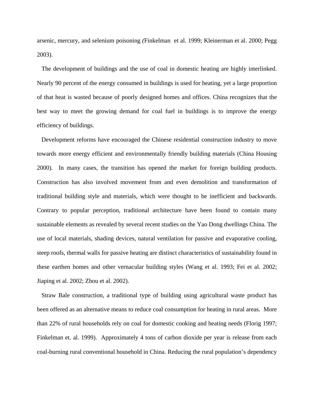arsenic, mercury, and selenium poisoning *(*Finkelman et al. 1999; Kleinerman et al. 2000; Pegg 2003).

The development of buildings and the use of coal in domestic heating are highly interlinked. Nearly 90 percent of the energy consumed in buildings is used for heating, yet a large proportion of that heat is wasted because of poorly designed homes and offices. China recognizes that the best way to meet the growing demand for coal fuel in buildings is to improve the energy efficiency of buildings.

Development reforms have encouraged the Chinese residential construction industry to move towards more energy efficient and environmentally friendly building materials (China Housing 2000). In many cases, the transition has opened the market for foreign building products. Construction has also involved movement from and even demolition and transformation of traditional building style and materials, which were thought to be inefficient and backwards. Contrary to popular perception, traditional architecture have been found to contain many sustainable elements as revealed by several recent studies on the Yao Dong dwellings China. The use of local materials, shading devices, natural ventilation for passive and evaporative cooling, steep roofs, thermal walls for passive heating are distinct characteristics of sustainability found in these earthen homes and other vernacular building styles (Wang et al. 1993; Fei et al. 2002; Jiaping et al. 2002; Zhou et al. 2002).

Straw Bale construction, a traditional type of building using agricultural waste product has been offered as an alternative means to reduce coal consumption for heating in rural areas. More than 22% of rural households rely on coal for domestic cooking and heating needs (Florig 1997; Finkelman et. al. 1999). Approximately 4 tons of carbon dioxide per year is release from each coal-burning rural conventional household in China. Reducing the rural population's dependency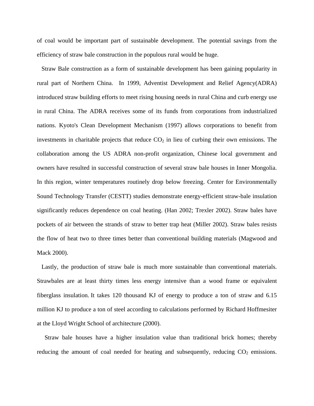of coal would be important part of sustainable development. The potential savings from the efficiency of straw bale construction in the populous rural would be huge.

Straw Bale construction as a form of sustainable development has been gaining popularity in rural part of Northern China. In 1999, Adventist Development and Relief Agency(ADRA) introduced straw building efforts to meet rising housing needs in rural China and curb energy use in rural China. The ADRA receives some of its funds from corporations from industrialized nations. Kyoto's Clean Development Mechanism (1997) allows corporations to benefit from investments in charitable projects that reduce  $CO<sub>2</sub>$  in lieu of curbing their own emissions. The collaboration among the US ADRA non-profit organization, Chinese local government and owners have resulted in successful construction of several straw bale houses in Inner Mongolia. In this region, winter temperatures routinely drop below freezing. Center for Environmentally Sound Technology Transfer (CESTT) studies demonstrate energy-efficient straw-bale insulation significantly reduces dependence on coal heating. (Han 2002; Trexler 2002). Straw bales have pockets of air between the strands of straw to better trap heat (Miller 2002). Straw bales resists the flow of heat two to three times better than conventional building materials (Magwood and Mack 2000).

Lastly, the production of straw bale is much more sustainable than conventional materials. Strawbales are at least thirty times less energy intensive than a wood frame or equivalent fiberglass insulation. It takes 120 thousand KJ of energy to produce a ton of straw and 6.15 million KJ to produce a ton of steel according to calculations performed by Richard Hoffmesiter at the Lloyd Wright School of architecture (2000).

 Straw bale houses have a higher insulation value than traditional brick homes; thereby reducing the amount of coal needed for heating and subsequently, reducing  $CO<sub>2</sub>$  emissions.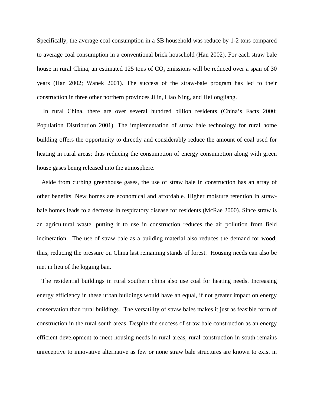Specifically, the average coal consumption in a SB household was reduce by 1-2 tons compared to average coal consumption in a conventional brick household (Han 2002). For each straw bale house in rural China, an estimated 125 tons of  $CO<sub>2</sub>$  emissions will be reduced over a span of 30 years (Han 2002; Wanek 2001). The success of the straw-bale program has led to their construction in three other northern provinces Jilin, Liao Ning, and Heilongjiang.

 In rural China, there are over several hundred billion residents (China's Facts 2000; Population Distribution 2001). The implementation of straw bale technology for rural home building offers the opportunity to directly and considerably reduce the amount of coal used for heating in rural areas; thus reducing the consumption of energy consumption along with green house gases being released into the atmosphere.

Aside from curbing greenhouse gases, the use of straw bale in construction has an array of other benefits. New homes are economical and affordable. Higher moisture retention in strawbale homes leads to a decrease in respiratory disease for residents (McRae 2000). Since straw is an agricultural waste, putting it to use in construction reduces the air pollution from field incineration. The use of straw bale as a building material also reduces the demand for wood; thus, reducing the pressure on China last remaining stands of forest. Housing needs can also be met in lieu of the logging ban.

The residential buildings in rural southern china also use coal for heating needs. Increasing energy efficiency in these urban buildings would have an equal, if not greater impact on energy conservation than rural buildings. The versatility of straw bales makes it just as feasible form of construction in the rural south areas. Despite the success of straw bale construction as an energy efficient development to meet housing needs in rural areas, rural construction in south remains unreceptive to innovative alternative as few or none straw bale structures are known to exist in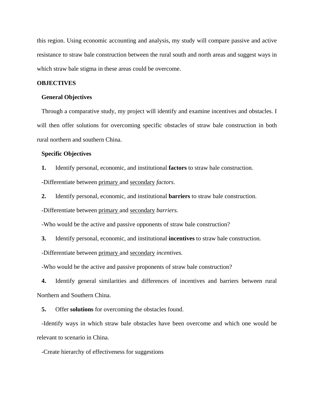this region. Using economic accounting and analysis, my study will compare passive and active resistance to straw bale construction between the rural south and north areas and suggest ways in which straw bale stigma in these areas could be overcome.

# **OBJECTIVES**

#### **General Objectives**

Through a comparative study, my project will identify and examine incentives and obstacles. I will then offer solutions for overcoming specific obstacles of straw bale construction in both rural northern and southern China.

# **Specific Objectives**

**1.** Identify personal, economic, and institutional **factors** to straw bale construction.

-Differentiate between primary and secondary *factors*.

**2.** Identify personal, economic, and institutional **barriers** to straw bale construction.

-Differentiate between primary and secondary *barriers.* 

*-*Who would be the active and passive opponents of straw bale construction?

**3.** Identify personal, economic, and institutional **incentives** to straw bale construction.

-Differentiate between primary and secondary *incentives*.

-Who would be the active and passive proponents of straw bale construction?

**4.** Identify general similarities and differences of incentives and barriers between rural Northern and Southern China.

**5.** Offer **solutions** for overcoming the obstacles found.

-Identify ways in which straw bale obstacles have been overcome and which one would be relevant to scenario in China.

-Create hierarchy of effectiveness for suggestions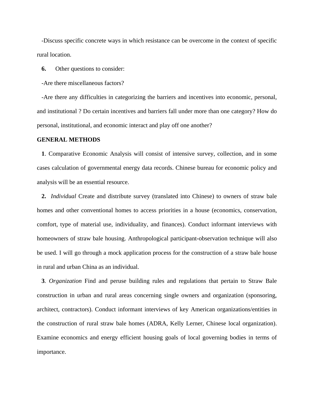-Discuss specific concrete ways in which resistance can be overcome in the context of specific rural location.

**6.** Other questions to consider:

-Are there miscellaneous factors?

-Are there any difficulties in categorizing the barriers and incentives into economic, personal, and institutional ? Do certain incentives and barriers fall under more than one category? How do personal, institutional, and economic interact and play off one another?

#### **GENERAL METHODS**

**1**. Comparative Economic Analysis will consist of intensive survey, collection, and in some cases calculation of governmental energy data records. Chinese bureau for economic policy and analysis will be an essential resource.

**2.** *Individual* Create and distribute survey (translated into Chinese) to owners of straw bale homes and other conventional homes to access priorities in a house (economics, conservation, comfort, type of material use, individuality, and finances). Conduct informant interviews with homeowners of straw bale housing. Anthropological participant-observation technique will also be used. I will go through a mock application process for the construction of a straw bale house in rural and urban China as an individual.

**3***. Organization* Find and peruse building rules and regulations that pertain to Straw Bale construction in urban and rural areas concerning single owners and organization (sponsoring, architect, contractors). Conduct informant interviews of key American organizations/entities in the construction of rural straw bale homes (ADRA, Kelly Lerner, Chinese local organization). Examine economics and energy efficient housing goals of local governing bodies in terms of importance.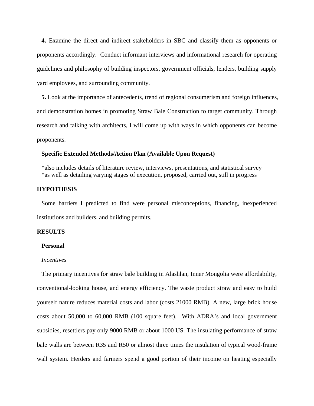**4.** Examine the direct and indirect stakeholders in SBC and classify them as opponents or proponents accordingly. Conduct informant interviews and informational research for operating guidelines and philosophy of building inspectors, government officials, lenders, building supply yard employees, and surrounding community.

**5.** Look at the importance of antecedents, trend of regional consumerism and foreign influences, and demonstration homes in promoting Straw Bale Construction to target community. Through research and talking with architects, I will come up with ways in which opponents can become proponents.

# **Specific Extended Methods/Action Plan (Available Upon Request)**

\*also includes details of literature review, interviews, presentations, and statistical survey \*as well as detailing varying stages of execution, proposed, carried out, still in progress

# **HYPOTHESIS**

Some barriers I predicted to find were personal misconceptions, financing, inexperienced institutions and builders, and building permits.

# **RESULTS**

# **Personal**

#### *Incentives*

The primary incentives for straw bale building in Alashlan, Inner Mongolia were affordability, conventional-looking house, and energy efficiency. The waste product straw and easy to build yourself nature reduces material costs and labor (costs 21000 RMB). A new, large brick house costs about 50,000 to 60,000 RMB (100 square feet). With ADRA's and local government subsidies, resettlers pay only 9000 RMB or about 1000 US. The insulating performance of straw bale walls are between R35 and R50 or almost three times the insulation of typical wood-frame wall system. Herders and farmers spend a good portion of their income on heating especially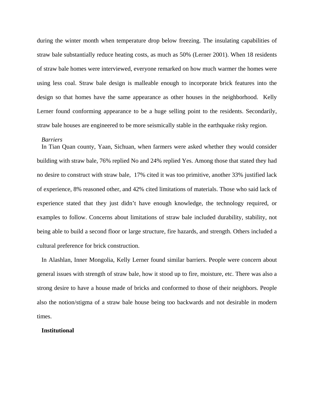during the winter month when temperature drop below freezing. The insulating capabilities of straw bale substantially reduce heating costs, as much as 50% (Lerner 2001). When 18 residents of straw bale homes were interviewed, everyone remarked on how much warmer the homes were using less coal. Straw bale design is malleable enough to incorporate brick features into the design so that homes have the same appearance as other houses in the neighborhood. Kelly Lerner found conforming appearance to be a huge selling point to the residents. Secondarily, straw bale houses are engineered to be more seismically stable in the earthquake risky region.

#### *Barriers*

In Tian Quan county, Yaan, Sichuan, when farmers were asked whether they would consider building with straw bale, 76% replied No and 24% replied Yes. Among those that stated they had no desire to construct with straw bale, 17% cited it was too primitive, another 33% justified lack of experience, 8% reasoned other, and 42% cited limitations of materials. Those who said lack of experience stated that they just didn't have enough knowledge, the technology required, or examples to follow. Concerns about limitations of straw bale included durability, stability, not being able to build a second floor or large structure, fire hazards, and strength. Others included a cultural preference for brick construction.

In Alashlan, Inner Mongolia, Kelly Lerner found similar barriers. People were concern about general issues with strength of straw bale, how it stood up to fire, moisture, etc. There was also a strong desire to have a house made of bricks and conformed to those of their neighbors. People also the notion/stigma of a straw bale house being too backwards and not desirable in modern times.

#### **Institutional**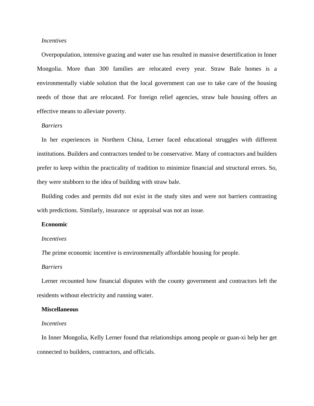# *Incentives*

Overpopulation, intensive grazing and water use has resulted in massive desertification in Inner Mongolia. More than 300 families are relocated every year. Straw Bale homes is a environmentally viable solution that the local government can use to take care of the housing needs of those that are relocated. For foreign relief agencies, straw bale housing offers an effective means to alleviate poverty.

# *Barriers*

In her experiences in Northern China, Lerner faced educational struggles with different institutions. Builders and contractors tended to be conservative. Many of contractors and builders prefer to keep within the practicality of tradition to minimize financial and structural errors. So, they were stubborn to the idea of building with straw bale.

Building codes and permits did not exist in the study sites and were not barriers contrasting with predictions. Similarly, insurance or appraisal was not an issue.

# **Economic**

#### *Incentives*

*T*he prime economic incentive is environmentally affordable housing for people.

#### *Barriers*

Lerner recounted how financial disputes with the county government and contractors left the residents without electricity and running water.

#### **Miscellaneous**

#### *Incentives*

In Inner Mongolia, Kelly Lerner found that relationships among people or guan-xi help her get connected to builders, contractors, and officials.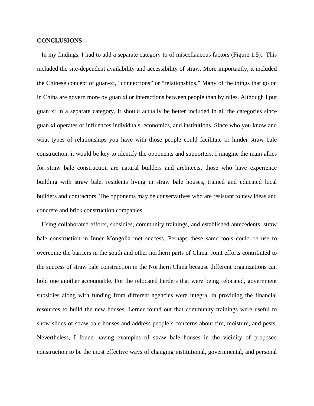# **CONCLUSIONS**

In my findings, I had to add a separate category to of miscellaneous factors (Figure 1.5). This included the site-dependent availability and accessibility of straw. More importantly, it included the Chinese concept of guan-xi, "connections" or "relationships." Many of the things that go on in China are govern more by guan xi or interactions between people than by rules. Although I put guan xi in a separate category, it should actually be better included in all the categories since guan xi operates or influences individuals, economics, and institutions. Since who you know and what types of relationships you have with those people could facilitate or hinder straw bale construction, it would be key to identify the opponents and supporters. I imagine the main allies for straw bale construction are natural builders and architects, those who have experience building with straw bale, residents living in straw bale houses, trained and educated local builders and contractors. The opponents may be conservatives who are resistant to new ideas and concrete and brick construction companies.

Using collaborated efforts, subsidies, community trainings, and established antecedents, straw bale construction in Inner Mongolia met success. Perhaps these same tools could be use to overcome the barriers in the south and other northern parts of China. Joint efforts contributed to the success of straw bale construction in the Northern China because different organizations can hold one another accountable. For the relocated herders that were being relocated, government subsidies along with funding from different agencies were integral in providing the financial resources to build the new houses. Lerner found out that community trainings were useful to show slides of straw bale houses and address people's concerns about fire, moisture, and pests. Nevertheless, I found having examples of straw bale houses in the vicinity of proposed construction to be the most effective ways of changing institutional, governmental, and personal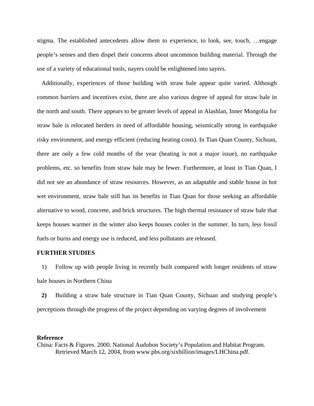stigma. The established antecedents allow them to experience, to look, see, touch, …engage people's senses and then dispel their concerns about uncommon building material. Through the use of a variety of educational tools, nayers could be enlightened into sayers.

Additionally, experiences of those building with straw bale appear quite varied. Although common barriers and incentives exist, there are also various degree of appeal for straw bale in the north and south. There appears to be greater levels of appeal in Alashlan, Inner Mongolia for straw bale is relocated herders in need of affordable housing, seismically strong in earthquake risky environment, and energy efficient (reducing heating costs). In Tian Quan County, Sichuan, there are only a few cold months of the year (heating is not a major issue), no earthquake problems, etc. so benefits from straw bale may be fewer. Furthermore, at least in Tian Quan, I did not see an abundance of straw resources. However, as an adaptable and stable house in hot wet environment, straw bale still has its benefits in Tian Quan for those seeking an affordable alternative to wood, concrete, and brick structures. The high thermal resistance of straw bale that keeps houses warmer in the winter also keeps houses cooler in the summer. In turn, less fossil fuels or burns and energy use is reduced, and less pollutants are released.

## **FURTHER STUDIES**

1) Follow up with people living in recently built compared with longer residents of straw bale houses in Northern China

**2)** Building a straw bale structure in Tian Quan County, Sichuan and studying people's perceptions through the progress of the project depending on varying degrees of involvement

# **Reference**

China: Facts & Figures. 2000. National Audubon Society's Population and Habitat Program. Retrieved March 12, 2004, from www.pbs.org/sixbillion/images/LHChina.pdf.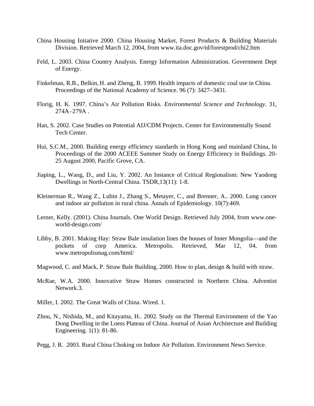- China Housing Initative 2000. China Housing Market, Forest Products & Building Materials Division. Retrieved March 12, 2004, from www.ita.doc.gov/td/forestprod/chi2.htm
- Feld, L. 2003. China Country Analysis. Energy Information Administration. Government Dept of Energy.
- Finkelman, R.B., Belkin, H. and Zheng, B. 1999. Health impacts of domestic coal use in China. Proceedings of the National Academy of Science. 96 (7): 3427–3431.
- Florig, H. K. 1997. China's Air Pollution Risks. *Environmental Science and Technology.* 31,  $274A - 279A$ .
- Han, S. 2002. Case Studies on Potential AIJ/CDM Projects. Center for Environmentally Sound Tech Center.
- Hui, S.C.M., 2000. Building energy efficiency standards in Hong Kong and mainland China, In Proceedings of the 2000 ACEEE Summer Study on Energy Efficiency in Buildings. 20- 25 August 2000, Pacific Grove, CA.
- Jiaping, L., Wang, D., and Liu, Y. 2002. An Instance of Critical Regionalism: New Yaodong Dwellings in North-Central China. TSDR,13(11): 1-8.
- Kleinerman R., Wang Z., Lubin J., Zhang S., Metayer, C., and Brenner, A.. 2000. Lung cancer and indoor air pollution in rural china. Annals of Epidemiology. 10(7):469.
- Lerner, Kelly. (2001). China Journals. One World Design. Retrieved July 2004, from www.oneworld-design.com/
- Libby, B. 2001. Making Hay: Straw Bale insulation lines the houses of Inner Mongolia—and the pockets of corp America. Metropolis. Retrieved, Mar 12, 04, from www.metropolismag.com/html/
- Magwood, C. and Mack, P. Straw Bale Building. 2000. How to plan, design & build with straw.
- McRae, W.A. 2000. Innovative Straw Homes constructed in Northern China. Adventist Network.3.
- Miller, I. 2002. The Great Walls of China. Wired. 1.
- Zhou, N., Nishida, M., and Kitayama, H.. 2002. Study on the Thermal Environment of the Yao Dong Dwelling in the Loess Plateau of China. Journal of Asian Architecture and Building Engineering. 1(1): 81-86.
- Pegg, J. R. 2003. Rural China Choking on Indoor Air Pollution. Environment News Service.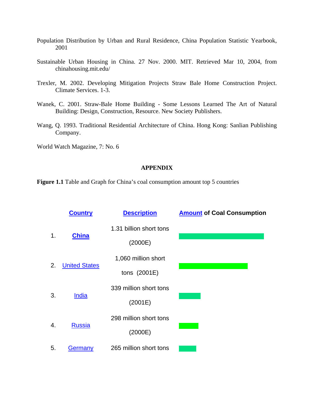- Population Distribution by Urban and Rural Residence, China Population Statistic Yearbook, 2001
- Sustainable Urban Housing in China. 27 Nov. 2000. MIT. Retrieved Mar 10, 2004, from chinahousing.mit.edu/
- Trexler, M. 2002. Developing Mitigation Projects Straw Bale Home Construction Project. Climate Services. 1-3.
- Wanek, C. 2001. Straw-Bale Home Building Some Lessons Learned The Art of Natural Building: Design, Construction, Resource. New Society Publishers.
- Wang, Q. 1993. Traditional Residential Architecture of China. Hong Kong: Sanlian Publishing Company.

World Watch Magazine, 7: No. 6

# **APPENDIX**

**Figure 1.1** Table and Graph for China's coal consumption amount top 5 countries

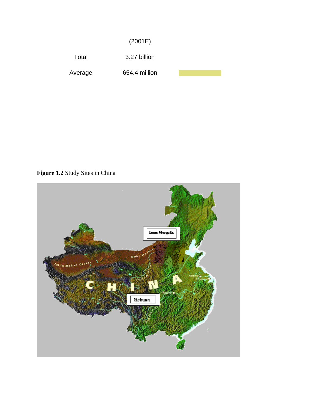

**Figure 1.2** Study Sites in China

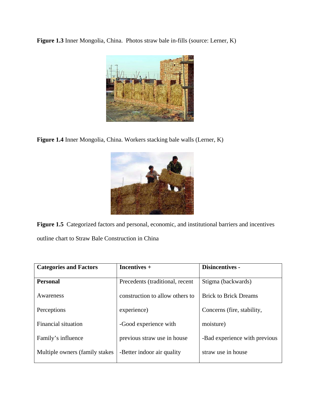**Figure 1.3** Inner Mongolia, China. Photos straw bale in-fills (source: Lerner, K)



**Figure 1.4** Inner Mongolia, China. Workers stacking bale walls (Lerner, K)



**Figure 1.5** Categorized factors and personal, economic, and institutional barriers and incentives outline chart to Straw Bale Construction in China

| <b>Categories and Factors</b>   | Incentives $+$                  | <b>Disincentives -</b>        |
|---------------------------------|---------------------------------|-------------------------------|
|                                 |                                 |                               |
| <b>Personal</b>                 | Precedents (traditional, recent | Stigma (backwards)            |
| Awareness                       | construction to allow others to | <b>Brick to Brick Dreams</b>  |
| Perceptions                     | experience)                     | Concerns (fire, stability,    |
| Financial situation             | -Good experience with           | moisture)                     |
| Family's influence              | previous straw use in house     | -Bad experience with previous |
| Multiple owners (family stakes) | -Better indoor air quality      | straw use in house            |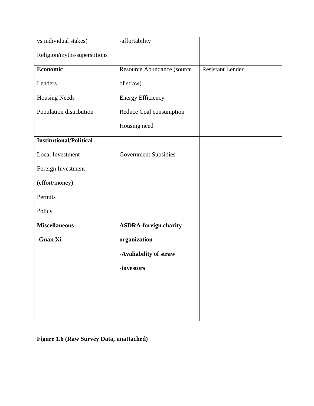| vs individual stakes)          | -affortability               |                         |
|--------------------------------|------------------------------|-------------------------|
| Religion/myths/superstitions   |                              |                         |
| <b>Economic</b>                | Resource Abundance (source   | <b>Resistant Lender</b> |
| Lenders                        | of straw)                    |                         |
| <b>Housing Needs</b>           | <b>Energy Efficiency</b>     |                         |
| Population distribution        | Reduce Coal consumption      |                         |
|                                | Housing need                 |                         |
| <b>Institutional/Political</b> |                              |                         |
| Local Investment               | <b>Government Subsidies</b>  |                         |
| Foreign Investment             |                              |                         |
| (effort/money)                 |                              |                         |
| Permits                        |                              |                         |
| Policy                         |                              |                         |
| <b>Miscellaneous</b>           | <b>ASDRA-foreign charity</b> |                         |
| -Guan Xi                       | organization                 |                         |
|                                | -Avaliability of straw       |                         |
|                                | -investors                   |                         |
|                                |                              |                         |
|                                |                              |                         |
|                                |                              |                         |

**Figure 1.6 (Raw Survey Data, unattached)**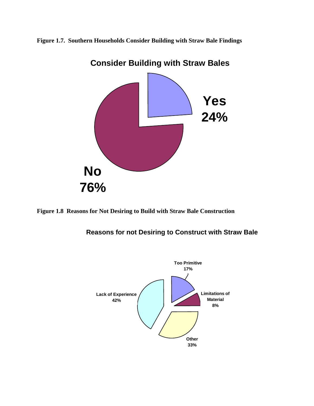**Figure 1.7. Southern Households Consider Building with Straw Bale Findings** 



**Figure 1.8 Reasons for Not Desiring to Build with Straw Bale Construction** 

**Reasons for not Desiring to Construct with Straw Bale**

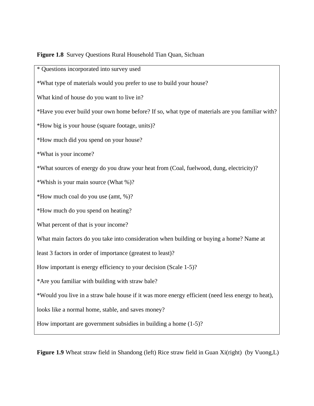**Figure 1.8** Survey Questions Rural Household Tian Quan, Sichuan \* Questions incorporated into survey used \*What type of materials would you prefer to use to build your house? What kind of house do you want to live in? \*Have you ever build your own home before? If so, what type of materials are you familiar with? \*How big is your house (square footage, units)? \*How much did you spend on your house? \*What is your income? \*What sources of energy do you draw your heat from (Coal, fuelwood, dung, electricity)? \*Whish is your main source (What %)? \*How much coal do you use (amt, %)? \*How much do you spend on heating? What percent of that is your income? What main factors do you take into consideration when building or buying a home? Name at least 3 factors in order of importance (greatest to least)? How important is energy efficiency to your decision (Scale 1-5)? \*Are you familiar with building with straw bale? \*Would you live in a straw bale house if it was more energy efficient (need less energy to heat), looks like a normal home, stable, and saves money? How important are government subsidies in building a home (1-5)?

**Figure 1.9** Wheat straw field in Shandong (left) Rice straw field in Guan Xi(right) (by Vuong,L)